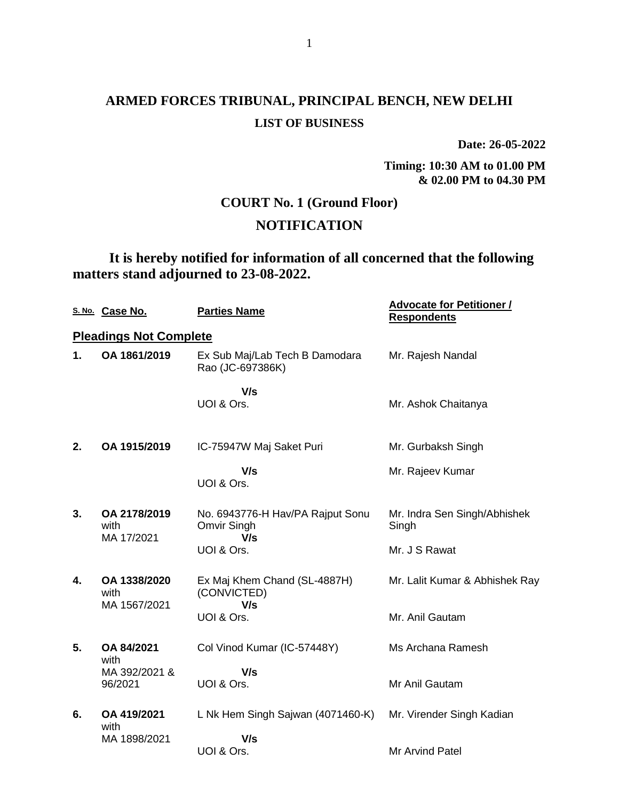**Date: 26-05-2022**

**Timing: 10:30 AM to 01.00 PM & 02.00 PM to 04.30 PM**

# **COURT No. 1 (Ground Floor)**

# **NOTIFICATION**

**It is hereby notified for information of all concerned that the following matters stand adjourned to 23-08-2022.**

|               | S. No. Case No.                    | <b>Parties Name</b>                                    | <b>Advocate for Petitioner /</b><br><b>Respondents</b> |
|---------------|------------------------------------|--------------------------------------------------------|--------------------------------------------------------|
|               | <b>Pleadings Not Complete</b>      |                                                        |                                                        |
| $\mathbf 1$ . | OA 1861/2019                       | Ex Sub Maj/Lab Tech B Damodara<br>Rao (JC-697386K)     | Mr. Rajesh Nandal                                      |
|               |                                    | V/s                                                    |                                                        |
|               |                                    | UOI & Ors.                                             | Mr. Ashok Chaitanya                                    |
| 2.            | OA 1915/2019                       | IC-75947W Maj Saket Puri                               | Mr. Gurbaksh Singh                                     |
|               |                                    | V/s<br>UOI & Ors.                                      | Mr. Rajeev Kumar                                       |
| 3.            | OA 2178/2019<br>with<br>MA 17/2021 | No. 6943776-H Hav/PA Rajput Sonu<br>Omvir Singh<br>V/s | Mr. Indra Sen Singh/Abhishek<br>Singh                  |
|               |                                    | UOI & Ors.                                             | Mr. J S Rawat                                          |
| 4.            | OA 1338/2020<br>with               | Ex Maj Khem Chand (SL-4887H)<br>(CONVICTED)            | Mr. Lalit Kumar & Abhishek Ray                         |
|               | MA 1567/2021                       | V/s<br>UOI & Ors.                                      | Mr. Anil Gautam                                        |
| 5.            | OA 84/2021<br>with                 | Col Vinod Kumar (IC-57448Y)                            | Ms Archana Ramesh                                      |
|               | MA 392/2021 &<br>96/2021           | V/s<br>UOI & Ors.                                      | Mr Anil Gautam                                         |
| 6.            | OA 419/2021<br>with                | L Nk Hem Singh Sajwan (4071460-K)                      | Mr. Virender Singh Kadian                              |
|               | MA 1898/2021                       | V/s<br>UOI & Ors.                                      | <b>Mr Arvind Patel</b>                                 |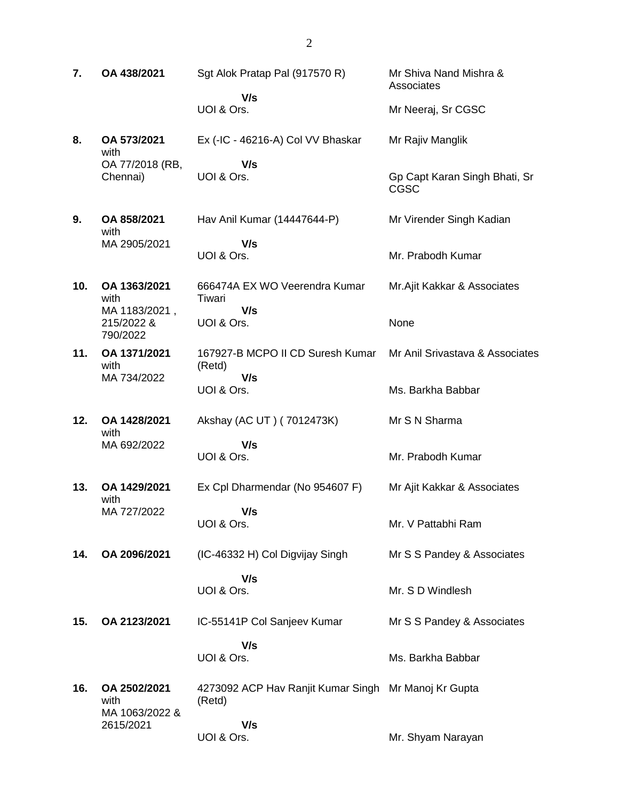**7. OA 438/2021** Sgt Alok Pratap Pal (917570 R)  **V/s** UOI & Ors. Mr Shiva Nand Mishra & **Associates** Mr Neeraj, Sr CGSC **8. OA 573/2021** with OA 77/2018 (RB, Chennai) Ex (-IC - 46216-A) Col VV Bhaskar  **V/s** UOI & Ors. Mr Rajiv Manglik Gp Capt Karan Singh Bhati, Sr CGSC **9. OA 858/2021** with MA 2905/2021 Hav Anil Kumar (14447644-P)  **V/s** UOI & Ors. Mr Virender Singh Kadian Mr. Prabodh Kumar **10. OA 1363/2021** with MA 1183/2021 , 215/2022 & 790/2022 666474A EX WO Veerendra Kumar Tiwari  **V/s** UOI & Ors. Mr.Ajit Kakkar & Associates None **11. OA 1371/2021** with MA 734/2022 167927-B MCPO II CD Suresh Kumar (Retd)  **V/s** UOI & Ors. Mr Anil Srivastava & Associates Ms. Barkha Babbar **12. OA 1428/2021** with MA 692/2022 Akshay (AC UT ) ( 7012473K)  **V/s** UOI & Ors. Mr S N Sharma Mr. Prabodh Kumar **13. OA 1429/2021** with MA 727/2022 Ex Cpl Dharmendar (No 954607 F)  **V/s** UOI & Ors. Mr Ajit Kakkar & Associates Mr. V Pattabhi Ram **14. OA 2096/2021** (IC-46332 H) Col Digvijay Singh  **V/s** UOI & Ors. Mr S S Pandey & Associates Mr. S D Windlesh **15. OA 2123/2021** IC-55141P Col Sanjeev Kumar  **V/s** UOI & Ors. Mr S S Pandey & Associates Ms. Barkha Babbar **16. OA 2502/2021** with MA 1063/2022 & 2615/2021 4273092 ACP Hav Ranjit Kumar Singh Mr Manoj Kr Gupta (Retd)  **V/s** UOI & Ors. Mr. Shyam Narayan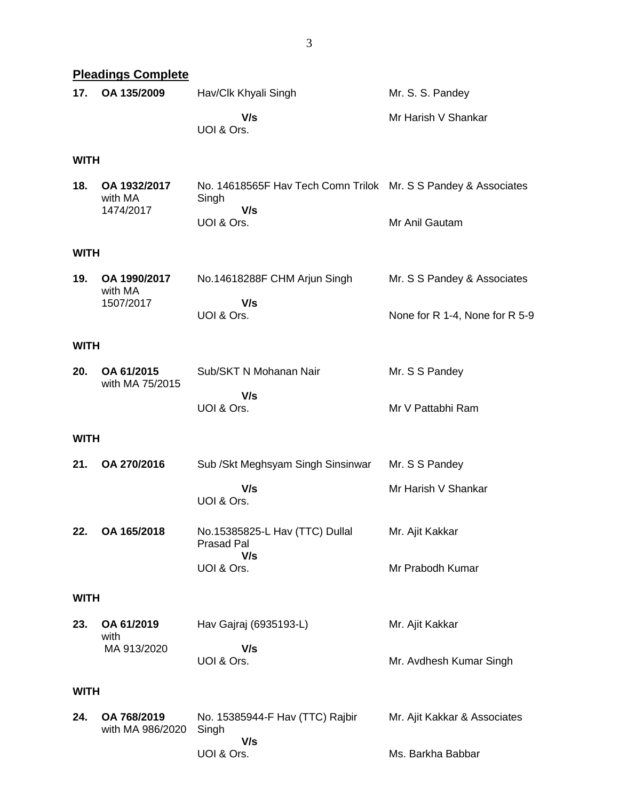|             | <b>Pleadings Complete</b>            |                                                                                              |                                                               |
|-------------|--------------------------------------|----------------------------------------------------------------------------------------------|---------------------------------------------------------------|
| 17.         | OA 135/2009                          | Hav/Clk Khyali Singh                                                                         | Mr. S. S. Pandey                                              |
|             |                                      | V/s<br>UOI & Ors.                                                                            | Mr Harish V Shankar                                           |
| WITH        |                                      |                                                                                              |                                                               |
| 18.         | OA 1932/2017<br>with MA<br>1474/2017 | No. 14618565F Hav Tech Comn Trilok Mr. S S Pandey & Associates<br>Singh<br>V/s<br>UOI & Ors. | Mr Anil Gautam                                                |
| WITH        |                                      |                                                                                              |                                                               |
| 19.         | OA 1990/2017<br>with MA<br>1507/2017 | No.14618288F CHM Arjun Singh<br>V/s<br>UOI & Ors.                                            | Mr. S S Pandey & Associates<br>None for R 1-4, None for R 5-9 |
| <b>WITH</b> |                                      |                                                                                              |                                                               |
| 20.         | OA 61/2015<br>with MA 75/2015        | Sub/SKT N Mohanan Nair                                                                       | Mr. S S Pandey                                                |
|             |                                      | V/s<br>UOI & Ors.                                                                            | Mr V Pattabhi Ram                                             |
| WITH        |                                      |                                                                                              |                                                               |
| 21.         | OA 270/2016                          | Sub / Skt Meghsyam Singh Sinsinwar                                                           | Mr. S S Pandey                                                |
|             |                                      | V/s<br>UOI & Ors.                                                                            | Mr Harish V Shankar                                           |
| 22.         | OA 165/2018                          | No.15385825-L Hav (TTC) Dullal<br><b>Prasad Pal</b><br>V/s                                   | Mr. Ajit Kakkar                                               |
|             |                                      | UOI & Ors.                                                                                   | Mr Prabodh Kumar                                              |
| WITH        |                                      |                                                                                              |                                                               |
| 23.         | OA 61/2019<br>with                   | Hav Gajraj (6935193-L)                                                                       | Mr. Ajit Kakkar                                               |
|             | MA 913/2020                          | V/s<br>UOI & Ors.                                                                            | Mr. Avdhesh Kumar Singh                                       |
| WITH        |                                      |                                                                                              |                                                               |
| 24.         | OA 768/2019<br>with MA 986/2020      | No. 15385944-F Hav (TTC) Rajbir<br>Singh<br>V/s                                              | Mr. Ajit Kakkar & Associates                                  |
|             |                                      | UOI & Ors.                                                                                   | Ms. Barkha Babbar                                             |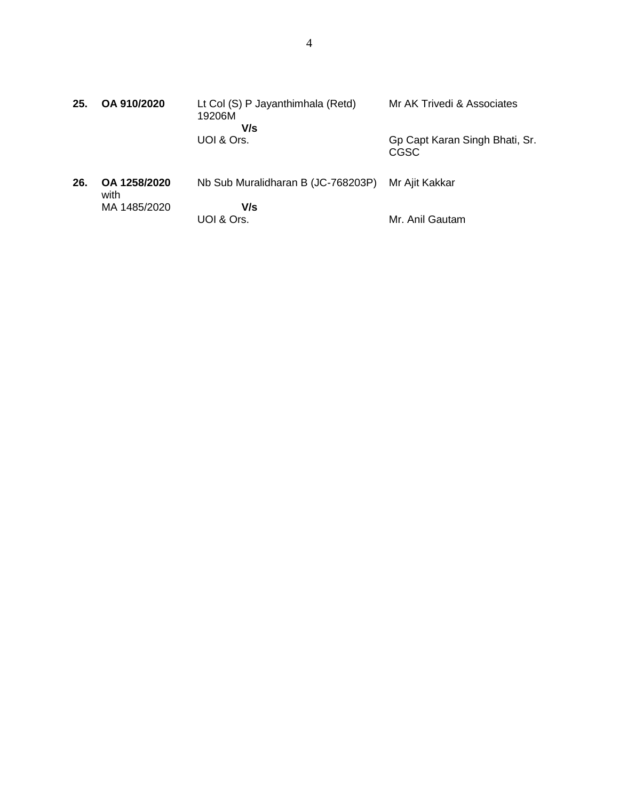| 25. | OA 910/2020          | Lt Col (S) P Jayanthimhala (Retd)<br>19206M<br>V/s | Mr AK Trivedi & Associates             |
|-----|----------------------|----------------------------------------------------|----------------------------------------|
|     |                      | UOI & Ors.                                         | Gp Capt Karan Singh Bhati, Sr.<br>CGSC |
| 26. | OA 1258/2020<br>with | Nb Sub Muralidharan B (JC-768203P)                 | Mr Ajit Kakkar                         |
|     | MA 1485/2020         | V/s<br>UOI & Ors.                                  | Mr. Anil Gautam                        |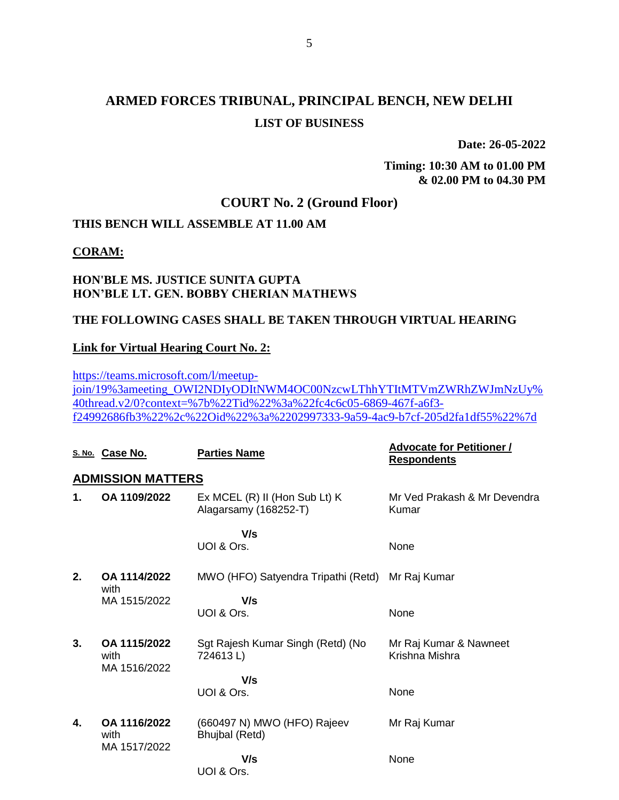**Date: 26-05-2022**

**Timing: 10:30 AM to 01.00 PM & 02.00 PM to 04.30 PM**

## **COURT No. 2 (Ground Floor)**

## **THIS BENCH WILL ASSEMBLE AT 11.00 AM**

#### **CORAM:**

### **HON'BLE MS. JUSTICE SUNITA GUPTA HON'BLE LT. GEN. BOBBY CHERIAN MATHEWS**

#### **THE FOLLOWING CASES SHALL BE TAKEN THROUGH VIRTUAL HEARING**

#### **Link for Virtual Hearing Court No. 2:**

[https://teams.microsoft.com/l/meetup](https://teams.microsoft.com/l/meetup-join/19%3ameeting_OWI2NDIyODItNWM4OC00NzcwLThhYTItMTVmZWRhZWJmNzUy%40thread.v2/0?context=%7b%22Tid%22%3a%22fc4c6c05-6869-467f-a6f3-f24992686fb3%22%2c%22Oid%22%3a%2202997333-9a59-4ac9-b7cf-205d2fa1df55%22%7d)[join/19%3ameeting\\_OWI2NDIyODItNWM4OC00NzcwLThhYTItMTVmZWRhZWJmNzUy%](https://teams.microsoft.com/l/meetup-join/19%3ameeting_OWI2NDIyODItNWM4OC00NzcwLThhYTItMTVmZWRhZWJmNzUy%40thread.v2/0?context=%7b%22Tid%22%3a%22fc4c6c05-6869-467f-a6f3-f24992686fb3%22%2c%22Oid%22%3a%2202997333-9a59-4ac9-b7cf-205d2fa1df55%22%7d) [40thread.v2/0?context=%7b%22Tid%22%3a%22fc4c6c05-6869-467f-a6f3](https://teams.microsoft.com/l/meetup-join/19%3ameeting_OWI2NDIyODItNWM4OC00NzcwLThhYTItMTVmZWRhZWJmNzUy%40thread.v2/0?context=%7b%22Tid%22%3a%22fc4c6c05-6869-467f-a6f3-f24992686fb3%22%2c%22Oid%22%3a%2202997333-9a59-4ac9-b7cf-205d2fa1df55%22%7d) [f24992686fb3%22%2c%22Oid%22%3a%2202997333-9a59-4ac9-b7cf-205d2fa1df55%22%7d](https://teams.microsoft.com/l/meetup-join/19%3ameeting_OWI2NDIyODItNWM4OC00NzcwLThhYTItMTVmZWRhZWJmNzUy%40thread.v2/0?context=%7b%22Tid%22%3a%22fc4c6c05-6869-467f-a6f3-f24992686fb3%22%2c%22Oid%22%3a%2202997333-9a59-4ac9-b7cf-205d2fa1df55%22%7d)

|    | S. No. Case No.                      | <b>Parties Name</b>                                        | <b>Advocate for Petitioner /</b><br><b>Respondents</b> |
|----|--------------------------------------|------------------------------------------------------------|--------------------------------------------------------|
|    | <b>ADMISSION MATTERS</b>             |                                                            |                                                        |
| 1. | OA 1109/2022                         | $Ex$ MCEL $(R)$ II (Hon Sub Lt) K<br>Alagarsamy (168252-T) | Mr Ved Prakash & Mr Devendra<br>Kumar                  |
|    |                                      | V/s<br>UOI & Ors.                                          | None                                                   |
| 2. | OA 1114/2022<br>with<br>MA 1515/2022 | MWO (HFO) Satyendra Tripathi (Retd)<br>V/s                 | Mr Raj Kumar                                           |
|    |                                      | UOI & Ors.                                                 | None                                                   |
| 3. | OA 1115/2022<br>with<br>MA 1516/2022 | Sgt Rajesh Kumar Singh (Retd) (No<br>724613L)              | Mr Raj Kumar & Nawneet<br>Krishna Mishra               |
|    |                                      | V/s                                                        |                                                        |
|    |                                      | UOI & Ors.                                                 | None                                                   |
| 4. | OA 1116/2022<br>with<br>MA 1517/2022 | (660497 N) MWO (HFO) Rajeev<br>Bhujbal (Retd)              | Mr Raj Kumar                                           |
|    |                                      | V/s<br>UOI & Ors.                                          | None                                                   |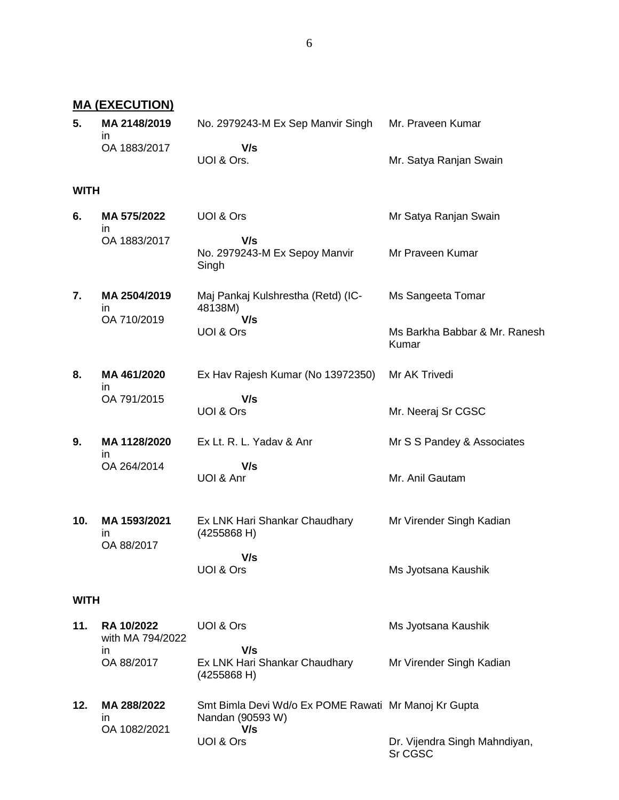#### **MA (EXECUTION)**

| 5. | MA 2148/2019 | No. 2979243-M Ex Sep Manvir Singh | Mr. Praveen Kumar      |
|----|--------------|-----------------------------------|------------------------|
|    | OA 1883/2017 | V/s                               |                        |
|    |              | UOI & Ors.                        | Mr. Satya Ranjan Swain |

#### **WITH**

| 6.          | MA 575/2022<br>ın                | UOI & Ors                                           | Mr Satya Ranjan Swain                  |
|-------------|----------------------------------|-----------------------------------------------------|----------------------------------------|
|             | OA 1883/2017                     | V/s<br>No. 2979243-M Ex Sepoy Manvir<br>Singh       | Mr Praveen Kumar                       |
| 7.          | MA 2504/2019<br>in               | Maj Pankaj Kulshrestha (Retd) (IC-<br>48138M)       | Ms Sangeeta Tomar                      |
|             | OA 710/2019                      | V/s<br>UOI & Ors                                    | Ms Barkha Babbar & Mr. Ranesh<br>Kumar |
| 8.          | MA 461/2020<br>in                | Ex Hav Rajesh Kumar (No 13972350)                   | Mr AK Trivedi                          |
|             | OA 791/2015                      | V/s<br>UOI & Ors                                    | Mr. Neeraj Sr CGSC                     |
| 9.          | MA 1128/2020<br>in               | Ex Lt. R. L. Yadav & Anr                            | Mr S S Pandey & Associates             |
|             | OA 264/2014                      | V/s<br>UOI & Anr                                    | Mr. Anil Gautam                        |
| 10.         | MA 1593/2021<br>in<br>OA 88/2017 | Ex LNK Hari Shankar Chaudhary<br>(4255868 H)        | Mr Virender Singh Kadian               |
|             |                                  | V/s<br>UOI & Ors                                    | Ms Jyotsana Kaushik                    |
| <b>WITH</b> |                                  |                                                     |                                        |
| 11.         | RA 10/2022<br>with MA 794/2022   | UOI & Ors                                           | Ms Jyotsana Kaushik                    |
|             | in<br>OA 88/2017                 | V/s<br>Ex LNK Hari Shankar Chaudhary<br>(4255868 H) | Mr Virender Singh Kadian               |

**12. MA 288/2022** in OA 1082/2021 Smt Bimla Devi Wd/o Ex POME Rawati Mr Manoj Kr Gupta Nandan (90593 W)  **V/s** UOI & Ors Dr. Vijendra Singh Mahndiyan, Sr CGSC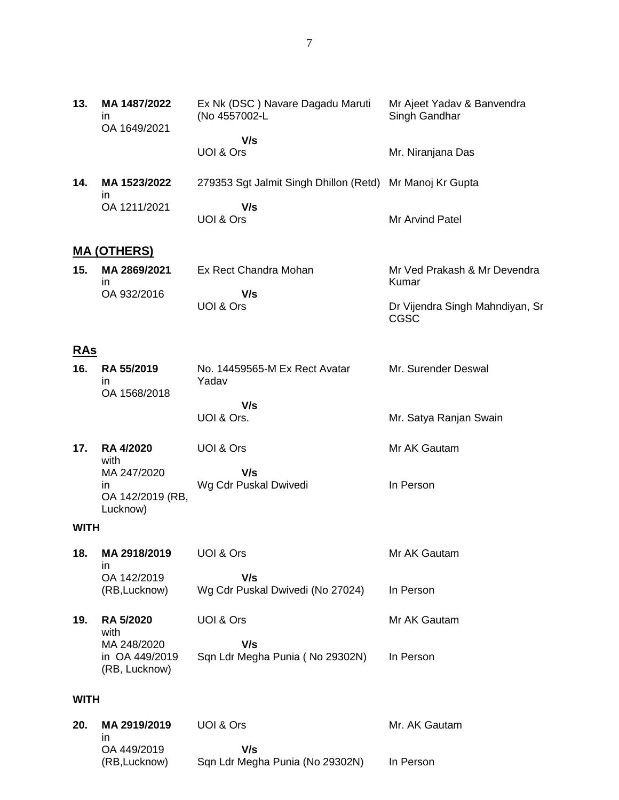| 13.         | MA 1487/2022<br>ın<br>OA 1649/2021             | Ex Nk (DSC) Navare Dagadu Maruti<br>(No 4557002-L        | Mr Ajeet Yadav & Banvendra<br>Singh Gandhar    |
|-------------|------------------------------------------------|----------------------------------------------------------|------------------------------------------------|
|             |                                                | V/s<br>UOI & Ors                                         | Mr. Niranjana Das                              |
|             |                                                |                                                          |                                                |
| 14.         | MA 1523/2022<br>in                             | 279353 Sgt Jalmit Singh Dhillon (Retd) Mr Manoj Kr Gupta |                                                |
|             | OA 1211/2021                                   | V/s<br>UOI & Ors                                         | Mr Arvind Patel                                |
|             | <u>MA (OTHERS)</u>                             |                                                          |                                                |
| 15.         | MA 2869/2021<br>in.                            | Ex Rect Chandra Mohan                                    | Mr Ved Prakash & Mr Devendra<br>Kumar          |
|             | OA 932/2016                                    | V/s<br>UOI & Ors                                         | Dr Vijendra Singh Mahndiyan, Sr<br><b>CGSC</b> |
| <u>RAs</u>  |                                                |                                                          |                                                |
| 16.         | RA 55/2019<br>in                               | No. 14459565-M Ex Rect Avatar<br>Yadav                   | Mr. Surender Deswal                            |
|             | OA 1568/2018                                   | V/s                                                      |                                                |
|             |                                                | UOI & Ors.                                               | Mr. Satya Ranjan Swain                         |
| 17.         | <b>RA 4/2020</b><br>with                       | UOI & Ors                                                | Mr AK Gautam                                   |
|             | MA 247/2020                                    | V/s                                                      |                                                |
|             | in.<br>OA 142/2019 (RB,<br>Lucknow)            | Wg Cdr Puskal Dwivedi                                    | In Person                                      |
| <b>WITH</b> |                                                |                                                          |                                                |
| 18.         | MA 2918/2019                                   | UOI & Ors                                                | Mr AK Gautam                                   |
|             | in<br>OA 142/2019<br>(RB, Lucknow)             | V/s<br>Wg Cdr Puskal Dwivedi (No 27024)                  | In Person                                      |
| 19.         | RA 5/2020<br>with                              | UOI & Ors                                                | Mr AK Gautam                                   |
|             | MA 248/2020<br>in OA 449/2019<br>(RB, Lucknow) | V/s<br>Sqn Ldr Megha Punia (No 29302N)                   | In Person                                      |
| <b>WITH</b> |                                                |                                                          |                                                |
| 20.         | MA 2919/2019<br>ın                             | UOI & Ors                                                | Mr. AK Gautam                                  |
|             | OA 449/2019                                    | V/s                                                      |                                                |

Sqn Ldr Megha Punia (No 29302N)

In Person

(RB,Lucknow)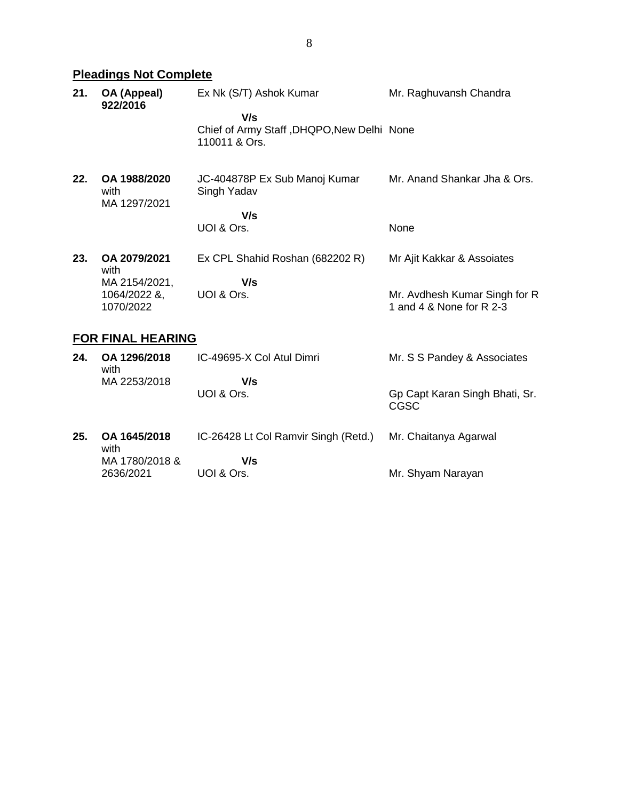# **Pleadings Not Complete**

| 21. | OA (Appeal)<br>922/2016                    | Ex Nk (S/T) Ashok Kumar                                            | Mr. Raghuvansh Chandra                                    |
|-----|--------------------------------------------|--------------------------------------------------------------------|-----------------------------------------------------------|
|     |                                            | V/s<br>Chief of Army Staff, DHQPO, New Delhi None<br>110011 & Ors. |                                                           |
| 22. | OA 1988/2020<br>with<br>MA 1297/2021       | JC-404878P Ex Sub Manoj Kumar<br>Singh Yadav                       | Mr. Anand Shankar Jha & Ors.                              |
|     |                                            | V/s<br>UOI & Ors.                                                  | None                                                      |
| 23. | OA 2079/2021<br>with                       | Ex CPL Shahid Roshan (682202 R)                                    | Mr Ajit Kakkar & Assoiates                                |
|     | MA 2154/2021,<br>1064/2022 &,<br>1070/2022 | V/s<br>UOI & Ors.                                                  | Mr. Avdhesh Kumar Singh for R<br>1 and 4 & None for R 2-3 |

## **FOR FINAL HEARING**

| 24. | OA 1296/2018<br>with | IC-49695-X Col Atul Dimri            | Mr. S S Pandey & Associates            |
|-----|----------------------|--------------------------------------|----------------------------------------|
|     | MA 2253/2018         | V/s                                  |                                        |
|     |                      | UOI & Ors.                           | Gp Capt Karan Singh Bhati, Sr.<br>CGSC |
| 25. | OA 1645/2018<br>with | IC-26428 Lt Col Ramvir Singh (Retd.) | Mr. Chaitanya Agarwal                  |
|     | MA 1780/2018 &       | V/s                                  |                                        |
|     | 2636/2021            | UOI & Ors.                           | Mr. Shyam Narayan                      |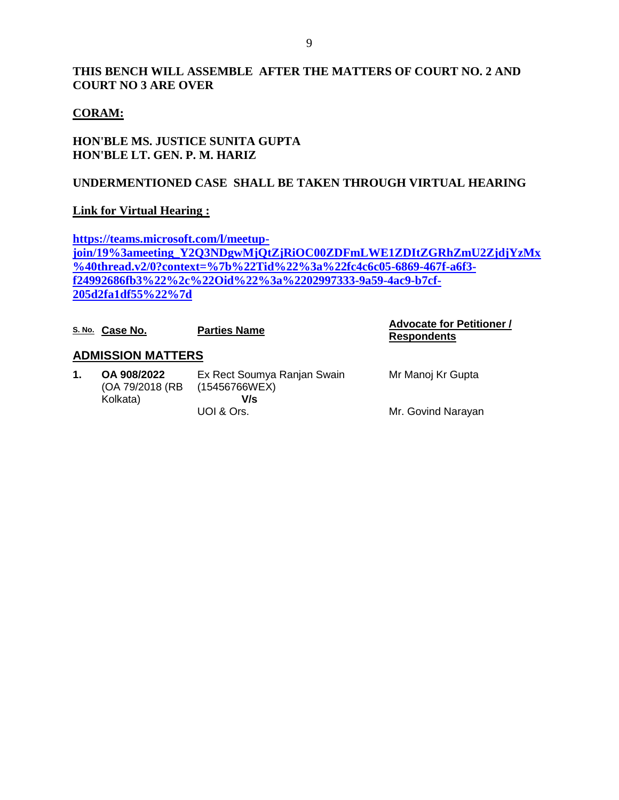### **THIS BENCH WILL ASSEMBLE AFTER THE MATTERS OF COURT NO. 2 AND COURT NO 3 ARE OVER**

### **CORAM:**

### **HON'BLE MS. JUSTICE SUNITA GUPTA HON'BLE LT. GEN. P. M. HARIZ**

### **UNDERMENTIONED CASE SHALL BE TAKEN THROUGH VIRTUAL HEARING**

### **Link for Virtual Hearing :**

**[https://teams.microsoft.com/l/meetup](https://teams.microsoft.com/l/meetup-join/19%3ameeting_Y2Q3NDgwMjQtZjRiOC00ZDFmLWE1ZDItZGRhZmU2ZjdjYzMx%40thread.v2/0?context=%7b%22Tid%22%3a%22fc4c6c05-6869-467f-a6f3-f24992686fb3%22%2c%22Oid%22%3a%2202997333-9a59-4ac9-b7cf-205d2fa1df55%22%7d)[join/19%3ameeting\\_Y2Q3NDgwMjQtZjRiOC00ZDFmLWE1ZDItZGRhZmU2ZjdjYzMx](https://teams.microsoft.com/l/meetup-join/19%3ameeting_Y2Q3NDgwMjQtZjRiOC00ZDFmLWE1ZDItZGRhZmU2ZjdjYzMx%40thread.v2/0?context=%7b%22Tid%22%3a%22fc4c6c05-6869-467f-a6f3-f24992686fb3%22%2c%22Oid%22%3a%2202997333-9a59-4ac9-b7cf-205d2fa1df55%22%7d) [%40thread.v2/0?context=%7b%22Tid%22%3a%22fc4c6c05-6869-467f-a6f3](https://teams.microsoft.com/l/meetup-join/19%3ameeting_Y2Q3NDgwMjQtZjRiOC00ZDFmLWE1ZDItZGRhZmU2ZjdjYzMx%40thread.v2/0?context=%7b%22Tid%22%3a%22fc4c6c05-6869-467f-a6f3-f24992686fb3%22%2c%22Oid%22%3a%2202997333-9a59-4ac9-b7cf-205d2fa1df55%22%7d) [f24992686fb3%22%2c%22Oid%22%3a%2202997333-9a59-4ac9-b7cf-](https://teams.microsoft.com/l/meetup-join/19%3ameeting_Y2Q3NDgwMjQtZjRiOC00ZDFmLWE1ZDItZGRhZmU2ZjdjYzMx%40thread.v2/0?context=%7b%22Tid%22%3a%22fc4c6c05-6869-467f-a6f3-f24992686fb3%22%2c%22Oid%22%3a%2202997333-9a59-4ac9-b7cf-205d2fa1df55%22%7d)[205d2fa1df55%22%7d](https://teams.microsoft.com/l/meetup-join/19%3ameeting_Y2Q3NDgwMjQtZjRiOC00ZDFmLWE1ZDItZGRhZmU2ZjdjYzMx%40thread.v2/0?context=%7b%22Tid%22%3a%22fc4c6c05-6869-467f-a6f3-f24992686fb3%22%2c%22Oid%22%3a%2202997333-9a59-4ac9-b7cf-205d2fa1df55%22%7d)**

|    | S. No. Case No.                             | <b>Parties Name</b>                                 | <b>Advocate for Petitioner /</b><br><b>Respondents</b> |
|----|---------------------------------------------|-----------------------------------------------------|--------------------------------------------------------|
|    | <b>ADMISSION MATTERS</b>                    |                                                     |                                                        |
| 1. | OA 908/2022<br>(OA 79/2018 (RB)<br>Kolkata) | Ex Rect Soumya Ranjan Swain<br>(15456766WEX)<br>V/s | Mr Manoj Kr Gupta                                      |
|    |                                             | UOI & Ors.                                          | Mr. Govind Narayan                                     |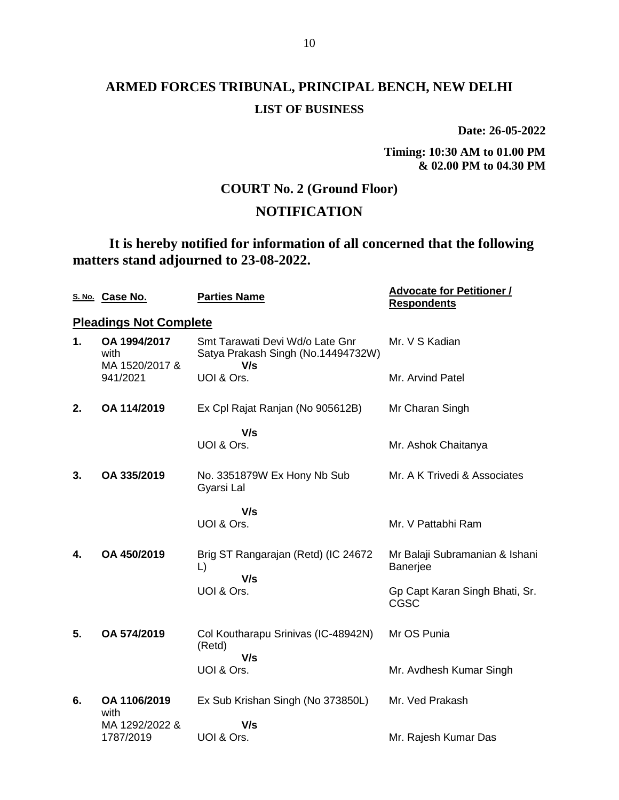**Date: 26-05-2022**

**Timing: 10:30 AM to 01.00 PM & 02.00 PM to 04.30 PM**

## **COURT No. 2 (Ground Floor)**

## **NOTIFICATION**

**It is hereby notified for information of all concerned that the following matters stand adjourned to 23-08-2022.**

|    | S. No. Case No.                        | <b>Parties Name</b>                                                          | <b>Advocate for Petitioner /</b><br><b>Respondents</b> |
|----|----------------------------------------|------------------------------------------------------------------------------|--------------------------------------------------------|
|    | <b>Pleadings Not Complete</b>          |                                                                              |                                                        |
| 1. | OA 1994/2017<br>with<br>MA 1520/2017 & | Smt Tarawati Devi Wd/o Late Gnr<br>Satya Prakash Singh (No.14494732W)<br>V/s | Mr. V S Kadian                                         |
|    | 941/2021                               | UOI & Ors.                                                                   | Mr. Arvind Patel                                       |
| 2. | OA 114/2019                            | Ex Cpl Rajat Ranjan (No 905612B)                                             | Mr Charan Singh                                        |
|    |                                        | V/s                                                                          |                                                        |
|    |                                        | UOI & Ors.                                                                   | Mr. Ashok Chaitanya                                    |
| 3. | OA 335/2019                            | No. 3351879W Ex Hony Nb Sub<br>Gyarsi Lal                                    | Mr. A K Trivedi & Associates                           |
|    |                                        | V/s                                                                          |                                                        |
|    |                                        | UOI & Ors.                                                                   | Mr. V Pattabhi Ram                                     |
| 4. | OA 450/2019                            | Brig ST Rangarajan (Retd) (IC 24672<br>L)<br>V/s                             | Mr Balaji Subramanian & Ishani<br><b>Banerjee</b>      |
|    |                                        | UOI & Ors.                                                                   | Gp Capt Karan Singh Bhati, Sr.<br>CGSC                 |
| 5. | OA 574/2019                            | Col Koutharapu Srinivas (IC-48942N)<br>(Retd)                                | Mr OS Punia                                            |
|    |                                        | V/s<br>UOI & Ors.                                                            | Mr. Avdhesh Kumar Singh                                |
| 6. | OA 1106/2019<br>with                   | Ex Sub Krishan Singh (No 373850L)                                            | Mr. Ved Prakash                                        |
|    | MA 1292/2022 &                         | V/s                                                                          |                                                        |
|    | 1787/2019                              | UOI & Ors.                                                                   | Mr. Rajesh Kumar Das                                   |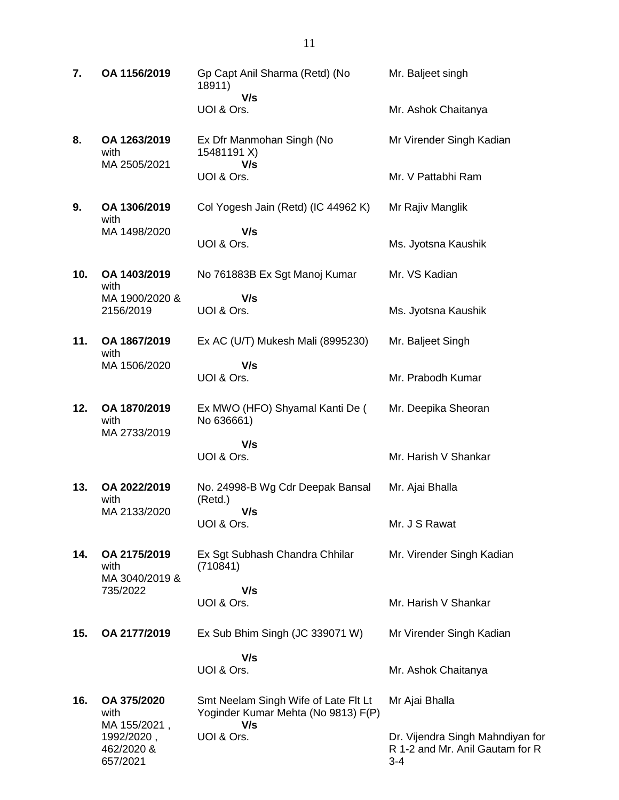**7. OA 1156/2019** Gp Capt Anil Sharma (Retd) (No 18911)  **V/s** UOI & Ors. Mr. Baljeet singh Mr. Ashok Chaitanya **8. OA 1263/2019** with MA 2505/2021 Ex Dfr Manmohan Singh (No 15481191 X)  **V/s** UOI & Ors. Mr Virender Singh Kadian Mr. V Pattabhi Ram **9. OA 1306/2019** with MA 1498/2020 Col Yogesh Jain (Retd) (IC 44962 K)  **V/s** UOI & Ors. Mr Rajiv Manglik Ms. Jyotsna Kaushik **10. OA 1403/2019** with MA 1900/2020 & 2156/2019 No 761883B Ex Sgt Manoj Kumar  **V/s** UOI & Ors. Mr. VS Kadian Ms. Jyotsna Kaushik **11. OA 1867/2019** with MA 1506/2020 Ex AC (U/T) Mukesh Mali (8995230)  **V/s** UOI & Ors. Mr. Baljeet Singh Mr. Prabodh Kumar **12. OA 1870/2019** with MA 2733/2019 Ex MWO (HFO) Shyamal Kanti De ( No 636661)  **V/s** UOI & Ors. Mr. Deepika Sheoran Mr. Harish V Shankar **13. OA 2022/2019** with MA 2133/2020 No. 24998-B Wg Cdr Deepak Bansal (Retd.)  **V/s** UOI & Ors. Mr. Ajai Bhalla Mr. J S Rawat **14. OA 2175/2019** with MA 3040/2019 & 735/2022 Ex Sgt Subhash Chandra Chhilar (710841)  **V/s** UOI & Ors. Mr. Virender Singh Kadian Mr. Harish V Shankar **15. OA 2177/2019** Ex Sub Bhim Singh (JC 339071 W)  **V/s** UOI & Ors. Mr Virender Singh Kadian Mr. Ashok Chaitanya **16. OA 375/2020** with MA 155/2021, 1992/2020 , 462/2020 & Smt Neelam Singh Wife of Late Flt Lt Yoginder Kumar Mehta (No 9813) F(P)  **V/s** UOI & Ors. Mr Ajai Bhalla Dr. Vijendra Singh Mahndiyan for R 1-2 and Mr. Anil Gautam for R

3-4

657/2021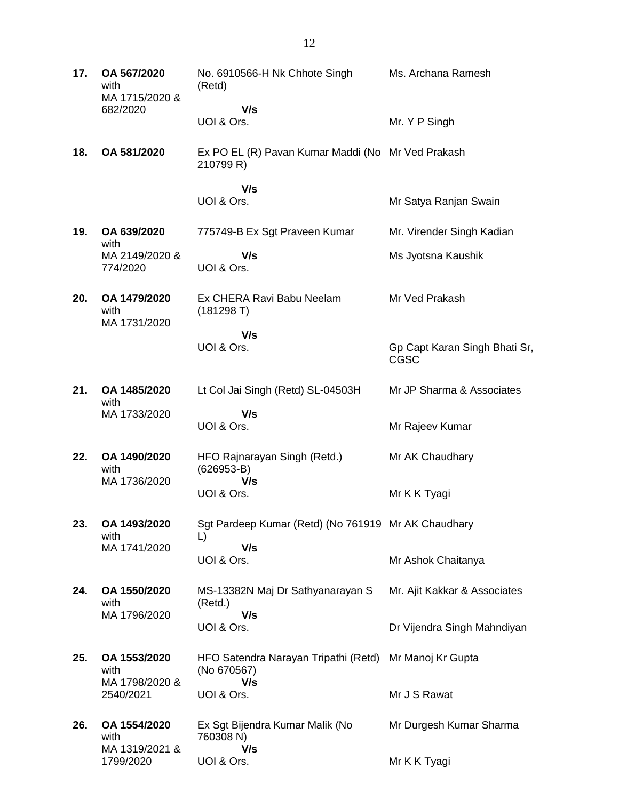**17. OA 567/2020** with MA 1715/2020 & 682/2020 No. 6910566-H Nk Chhote Singh (Retd)  **V/s** UOI & Ors. Ms. Archana Ramesh Mr. Y P Singh **18. OA 581/2020** Ex PO EL (R) Pavan Kumar Maddi (No Mr Ved Prakash 210799 R)  **V/s** UOI & Ors. Mr Satya Ranjan Swain **19. OA 639/2020** with MA 2149/2020 & 774/2020 775749-B Ex Sgt Praveen Kumar  **V/s** UOI & Ors. Mr. Virender Singh Kadian Ms Jyotsna Kaushik **20. OA 1479/2020** with MA 1731/2020 Ex CHERA Ravi Babu Neelam (181298 T)  **V/s** UOI & Ors. Mr Ved Prakash Gp Capt Karan Singh Bhati Sr, CGSC **21. OA 1485/2020** with MA 1733/2020 Lt Col Jai Singh (Retd) SL-04503H  **V/s** UOI & Ors. Mr JP Sharma & Associates Mr Rajeev Kumar **22. OA 1490/2020** with MA 1736/2020 HFO Rajnarayan Singh (Retd.) (626953-B)  **V/s** UOI & Ors. Mr AK Chaudhary Mr K K Tyagi **23. OA 1493/2020** with MA 1741/2020 Sgt Pardeep Kumar (Retd) (No 761919 Mr AK Chaudhary L)  **V/s** UOI & Ors. Mr Ashok Chaitanya **24. OA 1550/2020** with MA 1796/2020 MS-13382N Maj Dr Sathyanarayan S (Retd.)  **V/s** UOI & Ors. Mr. Ajit Kakkar & Associates Dr Vijendra Singh Mahndiyan **25. OA 1553/2020** with MA 1798/2020 & 2540/2021 HFO Satendra Narayan Tripathi (Retd) Mr Manoj Kr Gupta (No 670567)  **V/s** UOI & Ors. Mr J S Rawat **26. OA 1554/2020** with MA 1319/2021 & 1799/2020 Ex Sgt Bijendra Kumar Malik (No 760308 N)  **V/s** UOI & Ors. Mr Durgesh Kumar Sharma Mr K K Tyagi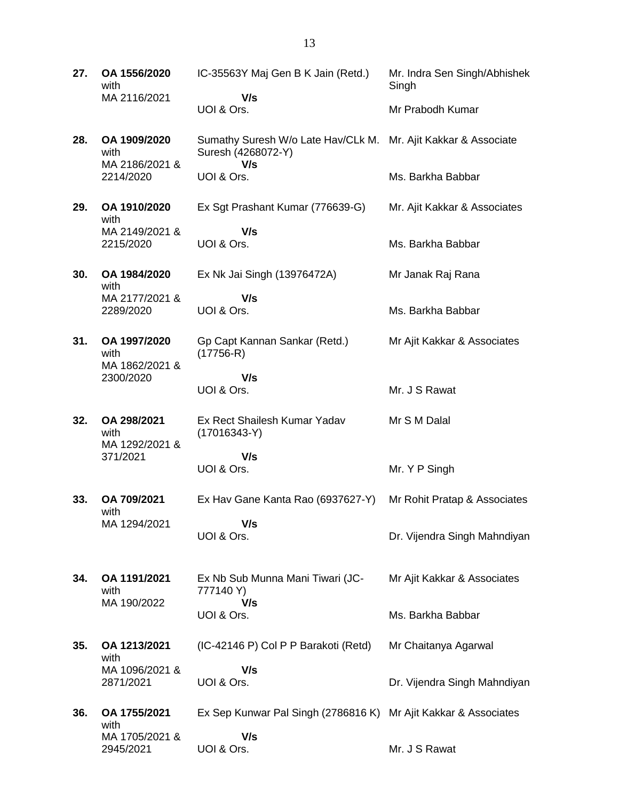**27. OA 1556/2020** with MA 2116/2021 IC-35563Y Maj Gen B K Jain (Retd.)  **V/s** UOI & Ors. Mr. Indra Sen Singh/Abhishek Singh Mr Prabodh Kumar **28. OA 1909/2020** with MA 2186/2021 & 2214/2020 Sumathy Suresh W/o Late Hav/CLk M. Mr. Ajit Kakkar & Associate Suresh (4268072-Y)  **V/s** UOI & Ors. Ms. Barkha Babbar **29. OA 1910/2020** with MA 2149/2021 & 2215/2020 Ex Sgt Prashant Kumar (776639-G)  **V/s** UOI & Ors. Mr. Ajit Kakkar & Associates Ms. Barkha Babbar **30. OA 1984/2020** with MA 2177/2021 & 2289/2020 Ex Nk Jai Singh (13976472A)  **V/s** UOI & Ors. Mr Janak Raj Rana Ms. Barkha Babbar **31. OA 1997/2020** with MA 1862/2021 & 2300/2020 Gp Capt Kannan Sankar (Retd.) (17756-R)  **V/s** UOI & Ors. Mr Ajit Kakkar & Associates Mr. J S Rawat **32. OA 298/2021** with MA 1292/2021 & 371/2021 Ex Rect Shailesh Kumar Yadav (17016343-Y)  **V/s** UOI & Ors. Mr S M Dalal Mr. Y P Singh **33. OA 709/2021** with MA 1294/2021 Ex Hav Gane Kanta Rao (6937627-Y)  **V/s** UOI & Ors. Mr Rohit Pratap & Associates Dr. Vijendra Singh Mahndiyan **34. OA 1191/2021** with MA 190/2022 Ex Nb Sub Munna Mani Tiwari (JC-777140 Y)  **V/s** UOI & Ors. Mr Ajit Kakkar & Associates Ms. Barkha Babbar **35. OA 1213/2021** with MA 1096/2021 & 2871/2021 (IC-42146 P) Col P P Barakoti (Retd)  **V/s** UOI & Ors. Mr Chaitanya Agarwal Dr. Vijendra Singh Mahndiyan **36. OA 1755/2021** with MA 1705/2021 & Ex Sep Kunwar Pal Singh (2786816 K) Mr Ajit Kakkar & Associates  **V/s**

Mr. J S Rawat

2945/2021

UOI & Ors.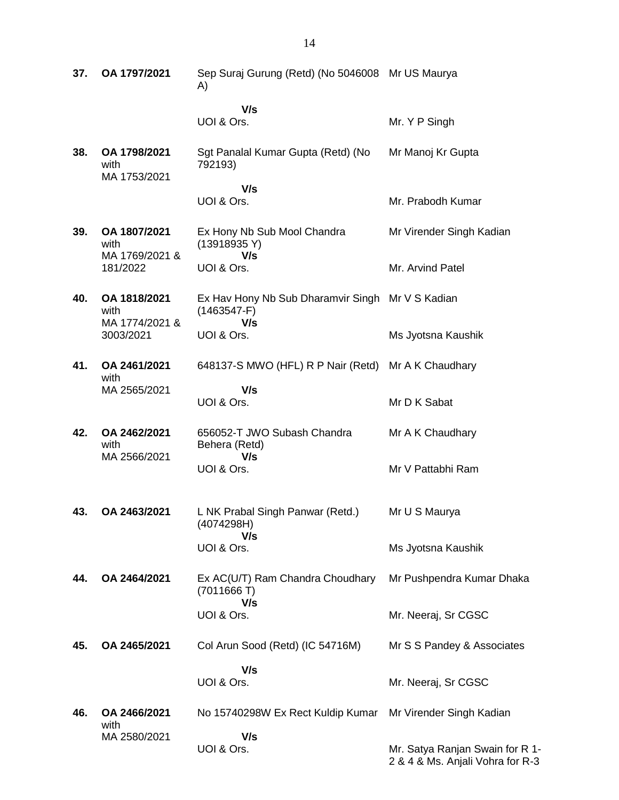| 37. | OA 1797/2021                           | Sep Suraj Gurung (Retd) (No 5046008 Mr US Maurya<br>A)            |                                                                     |
|-----|----------------------------------------|-------------------------------------------------------------------|---------------------------------------------------------------------|
|     |                                        | V/s<br>UOI & Ors.                                                 | Mr. Y P Singh                                                       |
| 38. | OA 1798/2021<br>with<br>MA 1753/2021   | Sgt Panalal Kumar Gupta (Retd) (No<br>792193)                     | Mr Manoj Kr Gupta                                                   |
|     |                                        | V/s<br>UOI & Ors.                                                 | Mr. Prabodh Kumar                                                   |
| 39. | OA 1807/2021<br>with<br>MA 1769/2021 & | Ex Hony Nb Sub Mool Chandra<br>(13918935 Y)<br>V/s                | Mr Virender Singh Kadian                                            |
|     | 181/2022                               | UOI & Ors.                                                        | Mr. Arvind Patel                                                    |
| 40. | OA 1818/2021<br>with                   | Ex Hav Hony Nb Sub Dharamvir Singh Mr V S Kadian<br>$(1463547-F)$ |                                                                     |
|     | MA 1774/2021 &<br>3003/2021            | V/s<br>UOI & Ors.                                                 | Ms Jyotsna Kaushik                                                  |
| 41. | OA 2461/2021<br>with                   | 648137-S MWO (HFL) R P Nair (Retd) Mr A K Chaudhary               |                                                                     |
|     | MA 2565/2021                           | V/s<br>UOI & Ors.                                                 | Mr D K Sabat                                                        |
| 42. | OA 2462/2021<br>with                   | 656052-T JWO Subash Chandra<br>Behera (Retd)                      | Mr A K Chaudhary                                                    |
|     | MA 2566/2021                           | V/s<br>UOI & Ors.                                                 | Mr V Pattabhi Ram                                                   |
| 43. | OA 2463/2021                           | L NK Prabal Singh Panwar (Retd.)<br>(4074298H)<br>V/s             | Mr U S Maurya                                                       |
|     |                                        | UOI & Ors.                                                        | Ms Jyotsna Kaushik                                                  |
| 44. | OA 2464/2021                           | Ex AC(U/T) Ram Chandra Choudhary<br>(7011666T)                    | Mr Pushpendra Kumar Dhaka                                           |
|     |                                        | V/s<br>UOI & Ors.                                                 | Mr. Neeraj, Sr CGSC                                                 |
| 45. | OA 2465/2021                           | Col Arun Sood (Retd) (IC 54716M)                                  | Mr S S Pandey & Associates                                          |
|     |                                        | V/s<br>UOI & Ors.                                                 | Mr. Neeraj, Sr CGSC                                                 |
| 46. | OA 2466/2021<br>with                   | No 15740298W Ex Rect Kuldip Kumar                                 | Mr Virender Singh Kadian                                            |
|     | MA 2580/2021                           | V/s<br>UOI & Ors.                                                 | Mr. Satya Ranjan Swain for R 1-<br>2 & 4 & Ms. Anjali Vohra for R-3 |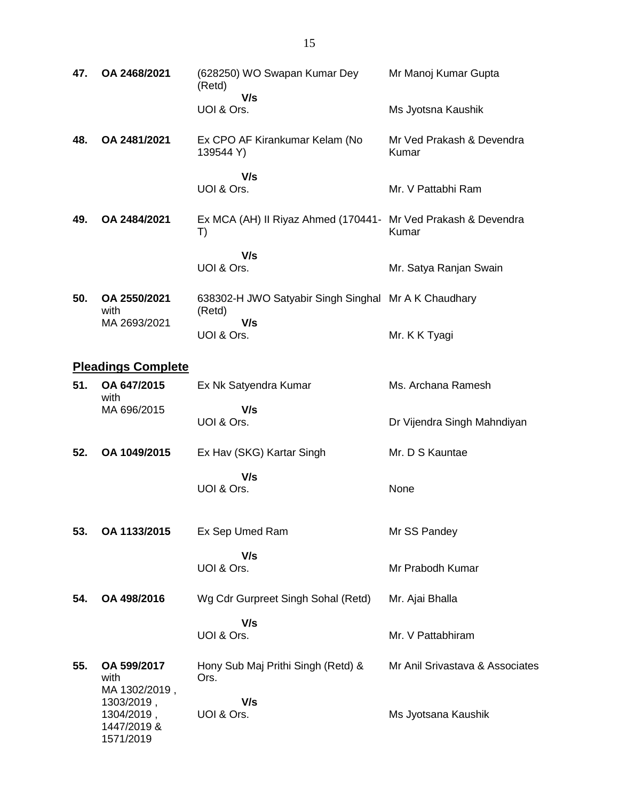| 47. | OA 2468/2021                                                          | (628250) WO Swapan Kumar Dey<br>(Retd)                              | Mr Manoj Kumar Gupta               |
|-----|-----------------------------------------------------------------------|---------------------------------------------------------------------|------------------------------------|
|     |                                                                       | V/s<br>UOI & Ors.                                                   | Ms Jyotsna Kaushik                 |
| 48. | OA 2481/2021                                                          | Ex CPO AF Kirankumar Kelam (No<br>139544 Y)                         | Mr Ved Prakash & Devendra<br>Kumar |
|     |                                                                       | V/s<br>UOI & Ors.                                                   | Mr. V Pattabhi Ram                 |
| 49. | OA 2484/2021                                                          | Ex MCA (AH) II Riyaz Ahmed (170441- Mr Ved Prakash & Devendra<br>T) | Kumar                              |
|     |                                                                       | V/s<br>UOI & Ors.                                                   | Mr. Satya Ranjan Swain             |
| 50. | OA 2550/2021<br>with                                                  | 638302-H JWO Satyabir Singh Singhal Mr A K Chaudhary<br>(Retd)      |                                    |
|     | MA 2693/2021                                                          | V/s<br>UOI & Ors.                                                   | Mr. K K Tyagi                      |
|     | <b>Pleadings Complete</b>                                             |                                                                     |                                    |
| 51. | OA 647/2015<br>with                                                   | Ex Nk Satyendra Kumar                                               | Ms. Archana Ramesh                 |
|     | MA 696/2015                                                           | V/s<br>UOI & Ors.                                                   | Dr Vijendra Singh Mahndiyan        |
| 52. | OA 1049/2015                                                          | Ex Hav (SKG) Kartar Singh                                           | Mr. D S Kauntae                    |
|     |                                                                       | V/s<br>UOI & Ors.                                                   | None                               |
| 53. | OA 1133/2015                                                          | Ex Sep Umed Ram                                                     | Mr SS Pandey                       |
|     |                                                                       | V/s<br>UOI & Ors.                                                   | Mr Prabodh Kumar                   |
| 54. | OA 498/2016                                                           | Wg Cdr Gurpreet Singh Sohal (Retd)                                  | Mr. Ajai Bhalla                    |
|     |                                                                       | V/s<br>UOI & Ors.                                                   | Mr. V Pattabhiram                  |
| 55. | OA 599/2017<br>with                                                   | Hony Sub Maj Prithi Singh (Retd) &<br>Ors.                          | Mr Anil Srivastava & Associates    |
|     | MA 1302/2019,<br>1303/2019,<br>1304/2019,<br>1447/2019 &<br>1571/2019 | V/s<br>UOI & Ors.                                                   | Ms Jyotsana Kaushik                |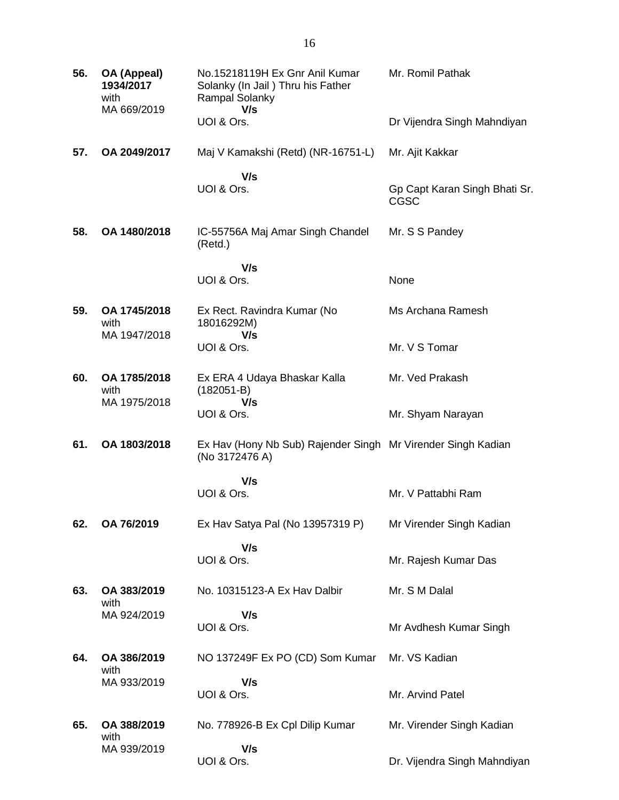| 56. | OA (Appeal)<br>1934/2017<br>with<br>MA 669/2019 | No.15218119H Ex Gnr Anil Kumar<br>Solanky (In Jail) Thru his Father<br>Rampal Solanky<br>V/s | Mr. Romil Pathak                             |
|-----|-------------------------------------------------|----------------------------------------------------------------------------------------------|----------------------------------------------|
|     |                                                 | UOI & Ors.                                                                                   | Dr Vijendra Singh Mahndiyan                  |
| 57. | OA 2049/2017                                    | Maj V Kamakshi (Retd) (NR-16751-L)                                                           | Mr. Ajit Kakkar                              |
|     |                                                 | V/s<br>UOI & Ors.                                                                            | Gp Capt Karan Singh Bhati Sr.<br><b>CGSC</b> |
| 58. | OA 1480/2018                                    | IC-55756A Maj Amar Singh Chandel<br>(Retd.)                                                  | Mr. S S Pandey                               |
|     |                                                 | V/s<br>UOI & Ors.                                                                            | None                                         |
| 59. | OA 1745/2018<br>with<br>MA 1947/2018            | Ex Rect. Ravindra Kumar (No<br>18016292M)<br>V/s                                             | Ms Archana Ramesh                            |
|     |                                                 | UOI & Ors.                                                                                   | Mr. V S Tomar                                |
| 60. | OA 1785/2018<br>with<br>MA 1975/2018            | Ex ERA 4 Udaya Bhaskar Kalla<br>$(182051-B)$<br>V/s                                          | Mr. Ved Prakash                              |
|     |                                                 | UOI & Ors.                                                                                   | Mr. Shyam Narayan                            |
| 61. | OA 1803/2018                                    | Ex Hav (Hony Nb Sub) Rajender Singh Mr Virender Singh Kadian<br>(No 3172476 A)               |                                              |
|     |                                                 | V/s<br>UOI & Ors.                                                                            | Mr. V Pattabhi Ram                           |
| 62. | OA 76/2019                                      | Ex Hav Satya Pal (No 13957319 P)                                                             | Mr Virender Singh Kadian                     |
|     |                                                 | V/s<br>UOI & Ors.                                                                            | Mr. Rajesh Kumar Das                         |
| 63. | OA 383/2019<br>with                             | No. 10315123-A Ex Hav Dalbir                                                                 | Mr. S M Dalal                                |
|     | MA 924/2019                                     | V/s<br>UOI & Ors.                                                                            | Mr Avdhesh Kumar Singh                       |
| 64. | OA 386/2019<br>with                             | NO 137249F Ex PO (CD) Som Kumar                                                              | Mr. VS Kadian                                |
|     | MA 933/2019                                     | V/s<br>UOI & Ors.                                                                            | Mr. Arvind Patel                             |
| 65. | OA 388/2019<br>with                             | No. 778926-B Ex Cpl Dilip Kumar                                                              | Mr. Virender Singh Kadian                    |
|     | MA 939/2019                                     | V/s<br>UOI & Ors.                                                                            | Dr. Vijendra Singh Mahndiyan                 |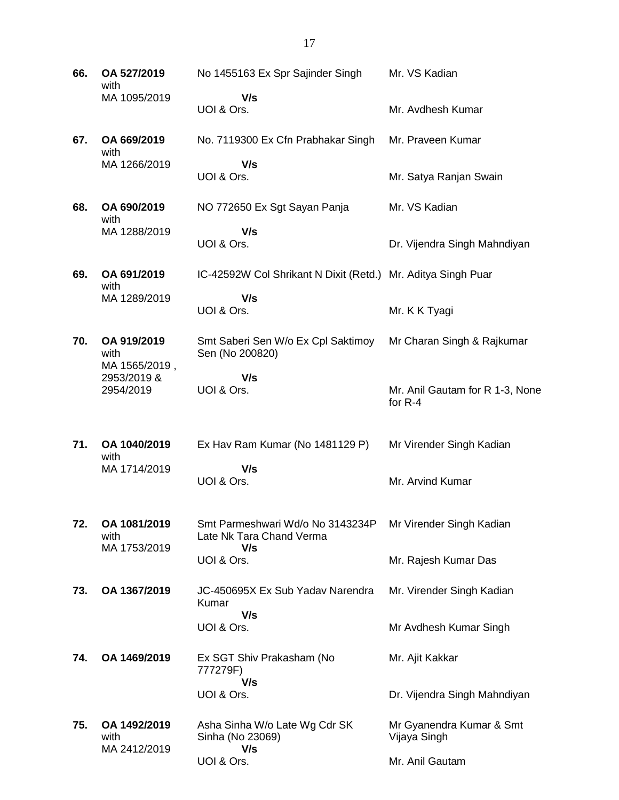**66. OA 527/2019** with MA 1095/2019 No 1455163 Ex Spr Sajinder Singh  **V/s** UOI & Ors. Mr. VS Kadian Mr. Avdhesh Kumar **67. OA 669/2019** with MA 1266/2019 No. 7119300 Ex Cfn Prabhakar Singh  **V/s** UOI & Ors. Mr. Praveen Kumar Mr. Satya Ranjan Swain **68. OA 690/2019** with MA 1288/2019 NO 772650 Ex Sgt Sayan Panja  **V/s** UOI & Ors. Mr. VS Kadian Dr. Vijendra Singh Mahndiyan **69. OA 691/2019** with MA 1289/2019 IC-42592W Col Shrikant N Dixit (Retd.) Mr. Aditya Singh Puar  **V/s** UOI & Ors. Mr. K K Tyagi **70. OA 919/2019** with MA 1565/2019 , 2953/2019 & 2954/2019 Smt Saberi Sen W/o Ex Cpl Saktimoy Sen (No 200820)  **V/s** UOI & Ors. Mr Charan Singh & Rajkumar Mr. Anil Gautam for R 1-3, None for R-4 **71. OA 1040/2019** with MA 1714/2019 Ex Hav Ram Kumar (No 1481129 P)  **V/s** UOI & Ors. Mr Virender Singh Kadian Mr. Arvind Kumar **72. OA 1081/2019** with MA 1753/2019 Smt Parmeshwari Wd/o No 3143234P Late Nk Tara Chand Verma  **V/s** UOI & Ors. Mr Virender Singh Kadian Mr. Rajesh Kumar Das **73. OA 1367/2019** JC-450695X Ex Sub Yadav Narendra Kumar  **V/s** UOI & Ors. Mr. Virender Singh Kadian Mr Avdhesh Kumar Singh **74. OA 1469/2019** Ex SGT Shiv Prakasham (No 777279F)  **V/s** UOI & Ors. Mr. Ajit Kakkar Dr. Vijendra Singh Mahndiyan **75. OA 1492/2019** with MA 2412/2019 Asha Sinha W/o Late Wg Cdr SK Sinha (No 23069)  **V/s** UOI & Ors. Mr Gyanendra Kumar & Smt Vijaya Singh Mr. Anil Gautam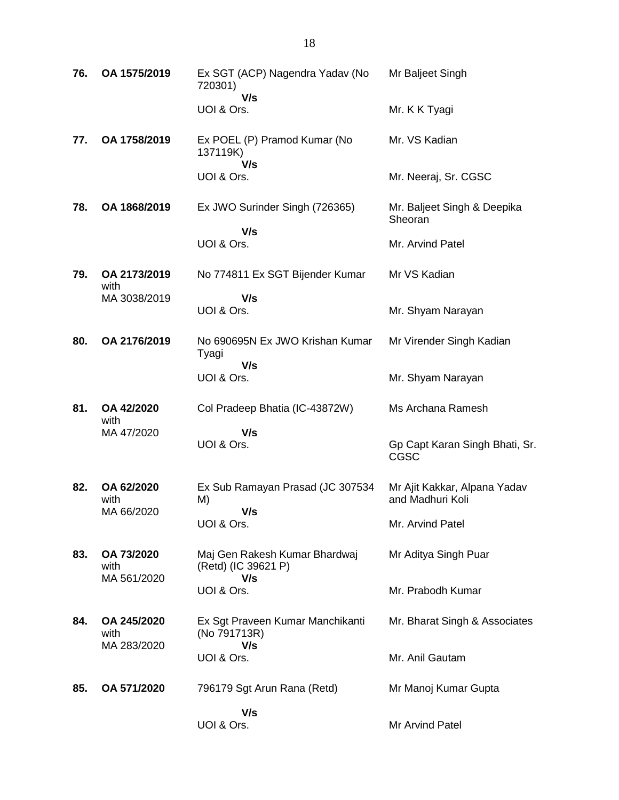| 76. | OA 1575/2019         | Ex SGT (ACP) Nagendra Yadav (No<br>720301)<br>V/s    | Mr Baljeet Singh                                 |
|-----|----------------------|------------------------------------------------------|--------------------------------------------------|
|     |                      | UOI & Ors.                                           | Mr. K K Tyagi                                    |
| 77. | OA 1758/2019         | Ex POEL (P) Pramod Kumar (No<br>137119K)             | Mr. VS Kadian                                    |
|     |                      | V/s<br>UOI & Ors.                                    | Mr. Neeraj, Sr. CGSC                             |
| 78. | OA 1868/2019         | Ex JWO Surinder Singh (726365)                       | Mr. Baljeet Singh & Deepika<br>Sheoran           |
|     |                      | V/s<br>UOI & Ors.                                    | Mr. Arvind Patel                                 |
| 79. | OA 2173/2019<br>with | No 774811 Ex SGT Bijender Kumar                      | Mr VS Kadian                                     |
|     | MA 3038/2019         | V/s<br>UOI & Ors.                                    | Mr. Shyam Narayan                                |
| 80. | OA 2176/2019         | No 690695N Ex JWO Krishan Kumar<br>Tyagi             | Mr Virender Singh Kadian                         |
|     |                      | V/s<br>UOI & Ors.                                    | Mr. Shyam Narayan                                |
| 81. | OA 42/2020<br>with   | Col Pradeep Bhatia (IC-43872W)                       | Ms Archana Ramesh                                |
|     | MA 47/2020           | V/s<br>UOI & Ors.                                    | Gp Capt Karan Singh Bhati, Sr.<br>CGSC           |
| 82. | OA 62/2020<br>with   | Ex Sub Ramayan Prasad (JC 307534<br>M)               | Mr Ajit Kakkar, Alpana Yadav<br>and Madhuri Koli |
|     |                      |                                                      |                                                  |
|     | MA 66/2020           | V/s<br>UOI & Ors.                                    | Mr. Arvind Patel                                 |
| 83. | OA 73/2020<br>with   | Maj Gen Rakesh Kumar Bhardwaj<br>(Retd) (IC 39621 P) | Mr Aditya Singh Puar                             |
|     | MA 561/2020          | V/s<br>UOI & Ors.                                    | Mr. Prabodh Kumar                                |
| 84. | OA 245/2020<br>with  | Ex Sgt Praveen Kumar Manchikanti<br>(No 791713R)     | Mr. Bharat Singh & Associates                    |
|     | MA 283/2020          | V/s<br>UOI & Ors.                                    | Mr. Anil Gautam                                  |
| 85. | OA 571/2020          | 796179 Sgt Arun Rana (Retd)                          | Mr Manoj Kumar Gupta                             |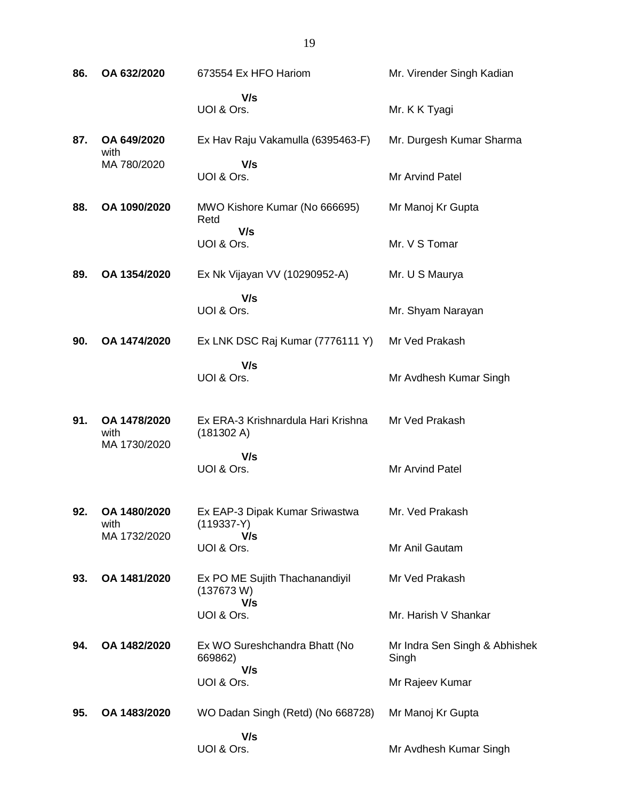| 86. | OA 632/2020                          | 673554 Ex HFO Hariom                             | Mr. Virender Singh Kadian              |
|-----|--------------------------------------|--------------------------------------------------|----------------------------------------|
|     |                                      | V/s<br>UOI & Ors.                                | Mr. K K Tyagi                          |
| 87. | OA 649/2020                          | Ex Hav Raju Vakamulla (6395463-F)                | Mr. Durgesh Kumar Sharma               |
|     | with<br>MA 780/2020                  | V/s<br>UOI & Ors.                                | Mr Arvind Patel                        |
| 88. | OA 1090/2020                         | MWO Kishore Kumar (No 666695)<br>Retd<br>V/s     | Mr Manoj Kr Gupta                      |
|     |                                      | UOI & Ors.                                       | Mr. V S Tomar                          |
| 89. | OA 1354/2020                         | Ex Nk Vijayan VV (10290952-A)                    | Mr. U S Maurya                         |
|     |                                      | V/s<br>UOI & Ors.                                | Mr. Shyam Narayan                      |
| 90. | OA 1474/2020                         | Ex LNK DSC Raj Kumar (7776111 Y)                 | Mr Ved Prakash                         |
|     |                                      | V/s<br>UOI & Ors.                                | Mr Avdhesh Kumar Singh                 |
| 91. | OA 1478/2020<br>with<br>MA 1730/2020 | Ex ERA-3 Krishnardula Hari Krishna<br>(181302 A) | Mr Ved Prakash                         |
|     |                                      | V/s<br>UOI & Ors.                                | Mr Arvind Patel                        |
| 92. | OA 1480/2020<br>with                 | Ex EAP-3 Dipak Kumar Sriwastwa<br>$(119337-Y)$   | Mr. Ved Prakash                        |
|     | MA 1732/2020                         | V/s<br>UOI & Ors.                                | Mr Anil Gautam                         |
| 93. | OA 1481/2020                         | Ex PO ME Sujith Thachanandiyil<br>(137673 W)     | Mr Ved Prakash                         |
|     |                                      | V/s<br>UOI & Ors.                                | Mr. Harish V Shankar                   |
| 94. | OA 1482/2020                         | Ex WO Sureshchandra Bhatt (No<br>669862)         | Mr Indra Sen Singh & Abhishek<br>Singh |
|     |                                      | V/s<br>UOI & Ors.                                | Mr Rajeev Kumar                        |
| 95. | OA 1483/2020                         | WO Dadan Singh (Retd) (No 668728)                | Mr Manoj Kr Gupta                      |
|     |                                      | V/s<br>UOI & Ors.                                | Mr Avdhesh Kumar Singh                 |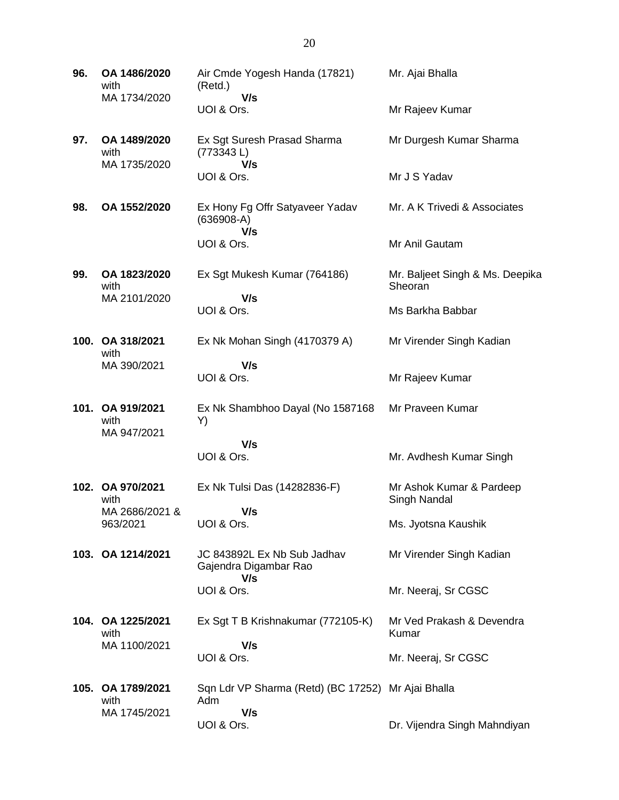| 96.  | OA 1486/2020<br>with<br>MA 1734/2020       | Air Cmde Yogesh Handa (17821)<br>(Retd.)<br>V/s             | Mr. Ajai Bhalla                            |
|------|--------------------------------------------|-------------------------------------------------------------|--------------------------------------------|
|      |                                            | UOI & Ors.                                                  | Mr Rajeev Kumar                            |
| 97.  | OA 1489/2020<br>with<br>MA 1735/2020       | Ex Sgt Suresh Prasad Sharma<br>(773343L)                    | Mr Durgesh Kumar Sharma                    |
|      |                                            | V/s<br>UOI & Ors.                                           | Mr J S Yadav                               |
| 98.  | OA 1552/2020                               | Ex Hony Fg Offr Satyaveer Yadav<br>$(636908-A)$<br>V/s      | Mr. A K Trivedi & Associates               |
|      |                                            | UOI & Ors.                                                  | Mr Anil Gautam                             |
| 99.  | OA 1823/2020<br>with                       | Ex Sgt Mukesh Kumar (764186)                                | Mr. Baljeet Singh & Ms. Deepika<br>Sheoran |
|      | MA 2101/2020                               | V/s<br>UOI & Ors.                                           | Ms Barkha Babbar                           |
|      | 100. OA 318/2021<br>with                   | Ex Nk Mohan Singh (4170379 A)                               | Mr Virender Singh Kadian                   |
|      | MA 390/2021                                | V/s<br>UOI & Ors.                                           | Mr Rajeev Kumar                            |
| 101. | OA 919/2021<br>with<br>MA 947/2021         | Ex Nk Shambhoo Dayal (No 1587168<br>Y)                      | Mr Praveen Kumar                           |
|      |                                            | V/s<br>UOI & Ors.                                           | Mr. Avdhesh Kumar Singh                    |
|      |                                            |                                                             |                                            |
|      | 102. OA 970/2021<br>with<br>MA 2686/2021 & | Ex Nk Tulsi Das (14282836-F)<br>V/s                         | Mr Ashok Kumar & Pardeep<br>Singh Nandal   |
|      | 963/2021                                   | UOI & Ors.                                                  | Ms. Jyotsna Kaushik                        |
|      | 103. OA 1214/2021                          | JC 843892L Ex Nb Sub Jadhav<br>Gajendra Digambar Rao<br>V/s | Mr Virender Singh Kadian                   |
|      |                                            | UOI & Ors.                                                  | Mr. Neeraj, Sr CGSC                        |
|      | 104. OA 1225/2021<br>with                  | Ex Sgt T B Krishnakumar (772105-K)                          | Mr Ved Prakash & Devendra<br>Kumar         |
|      | MA 1100/2021                               | V/s<br>UOI & Ors.                                           | Mr. Neeraj, Sr CGSC                        |
| 105. | OA 1789/2021<br>with                       | Sqn Ldr VP Sharma (Retd) (BC 17252)<br>Adm                  | Mr Ajai Bhalla                             |
|      | MA 1745/2021                               | V/s<br>UOI & Ors.                                           | Dr. Vijendra Singh Mahndiyan               |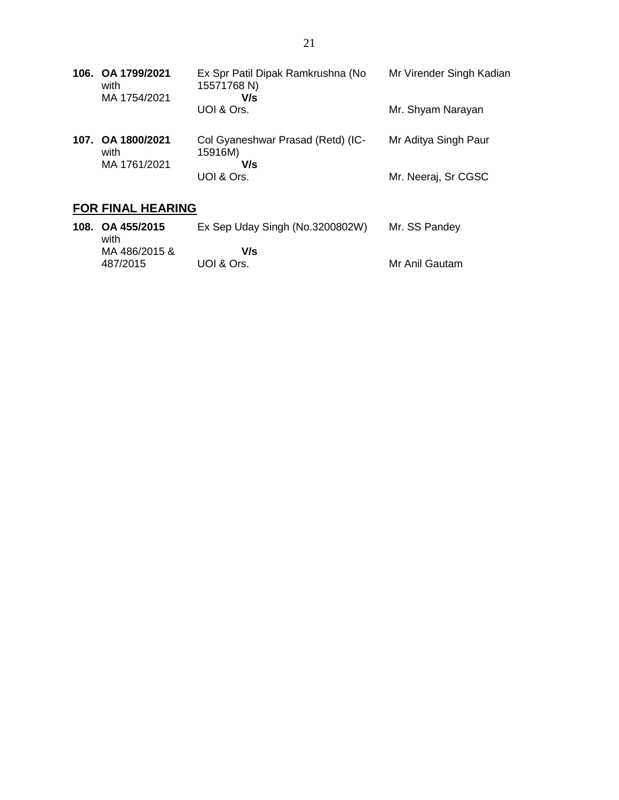|      | 106. OA 1799/2021<br>with<br>MA 1754/2021 | Ex Spr Patil Dipak Ramkrushna (No<br>15571768 N)<br>V/s | Mr Virender Singh Kadian |
|------|-------------------------------------------|---------------------------------------------------------|--------------------------|
|      |                                           | UOI & Ors.                                              | Mr. Shyam Narayan        |
| 107. | OA 1800/2021<br>with                      | Col Gyaneshwar Prasad (Retd) (IC-<br>15916M)            | Mr Aditya Singh Paur     |
|      | MA 1761/2021                              | V/s<br>UOI & Ors.                                       | Mr. Neeraj, Sr CGSC      |
|      |                                           |                                                         |                          |

## **FOR FINAL HEARING**

| 108. OA 455/2015<br>with  | Ex Sep Uday Singh (No.3200802W) | Mr. SS Pandey  |
|---------------------------|---------------------------------|----------------|
| MA 486/2015 &<br>487/2015 | V/s<br>UOI & Ors.               | Mr Anil Gautam |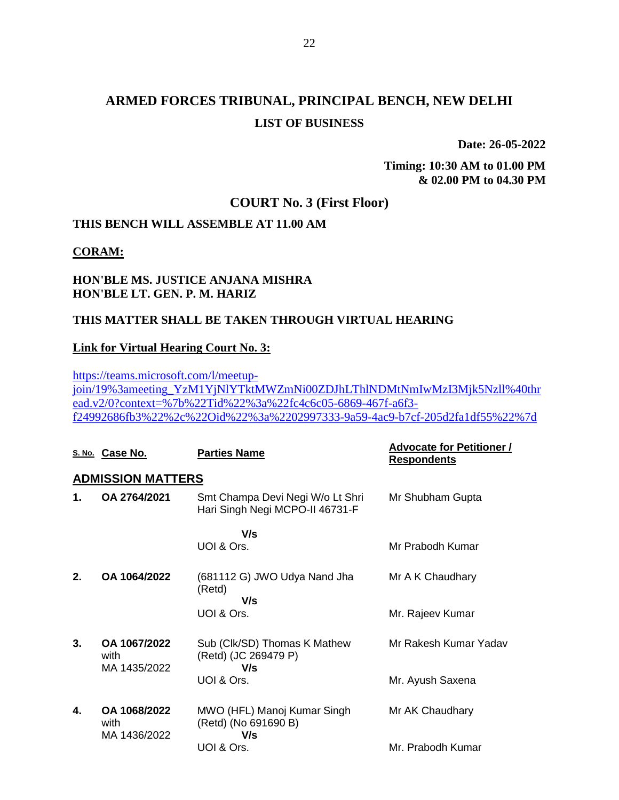**Date: 26-05-2022**

**Timing: 10:30 AM to 01.00 PM & 02.00 PM to 04.30 PM**

## **COURT No. 3 (First Floor)**

## **THIS BENCH WILL ASSEMBLE AT 11.00 AM**

#### **CORAM:**

### **HON'BLE MS. JUSTICE ANJANA MISHRA HON'BLE LT. GEN. P. M. HARIZ**

### **THIS MATTER SHALL BE TAKEN THROUGH VIRTUAL HEARING**

#### **Link for Virtual Hearing Court No. 3:**

[https://teams.microsoft.com/l/meetup](https://teams.microsoft.com/l/meetup-join/19%3ameeting_YzM1YjNlYTktMWZmNi00ZDJhLThlNDMtNmIwMzI3Mjk5Nzll%40thread.v2/0?context=%7b%22Tid%22%3a%22fc4c6c05-6869-467f-a6f3-f24992686fb3%22%2c%22Oid%22%3a%2202997333-9a59-4ac9-b7cf-205d2fa1df55%22%7d)[join/19%3ameeting\\_YzM1YjNlYTktMWZmNi00ZDJhLThlNDMtNmIwMzI3Mjk5Nzll%40thr](https://teams.microsoft.com/l/meetup-join/19%3ameeting_YzM1YjNlYTktMWZmNi00ZDJhLThlNDMtNmIwMzI3Mjk5Nzll%40thread.v2/0?context=%7b%22Tid%22%3a%22fc4c6c05-6869-467f-a6f3-f24992686fb3%22%2c%22Oid%22%3a%2202997333-9a59-4ac9-b7cf-205d2fa1df55%22%7d) [ead.v2/0?context=%7b%22Tid%22%3a%22fc4c6c05-6869-467f-a6f3](https://teams.microsoft.com/l/meetup-join/19%3ameeting_YzM1YjNlYTktMWZmNi00ZDJhLThlNDMtNmIwMzI3Mjk5Nzll%40thread.v2/0?context=%7b%22Tid%22%3a%22fc4c6c05-6869-467f-a6f3-f24992686fb3%22%2c%22Oid%22%3a%2202997333-9a59-4ac9-b7cf-205d2fa1df55%22%7d) [f24992686fb3%22%2c%22Oid%22%3a%2202997333-9a59-4ac9-b7cf-205d2fa1df55%22%7d](https://teams.microsoft.com/l/meetup-join/19%3ameeting_YzM1YjNlYTktMWZmNi00ZDJhLThlNDMtNmIwMzI3Mjk5Nzll%40thread.v2/0?context=%7b%22Tid%22%3a%22fc4c6c05-6869-467f-a6f3-f24992686fb3%22%2c%22Oid%22%3a%2202997333-9a59-4ac9-b7cf-205d2fa1df55%22%7d)

|    | S. No. Case No.                      | <b>Parties Name</b>                                                 | <b>Advocate for Petitioner /</b><br><b>Respondents</b> |
|----|--------------------------------------|---------------------------------------------------------------------|--------------------------------------------------------|
|    | <b>ADMISSION MATTERS</b>             |                                                                     |                                                        |
| 1. | OA 2764/2021                         | Smt Champa Devi Negi W/o Lt Shri<br>Hari Singh Negi MCPO-II 46731-F | Mr Shubham Gupta                                       |
|    |                                      | V/s                                                                 |                                                        |
|    |                                      | UOI & Ors.                                                          | Mr Prabodh Kumar                                       |
| 2. | OA 1064/2022                         | (681112 G) JWO Udya Nand Jha<br>(Retd)<br>V/s                       | Mr A K Chaudhary                                       |
|    |                                      | UOI & Ors.                                                          | Mr. Rajeev Kumar                                       |
| 3. | OA 1067/2022<br>with<br>MA 1435/2022 | Sub (CIk/SD) Thomas K Mathew<br>(Retd) (JC 269479 P)<br>V/s         | Mr Rakesh Kumar Yadav                                  |
|    |                                      | UOI & Ors.                                                          | Mr. Ayush Saxena                                       |
| 4. | OA 1068/2022<br>with<br>MA 1436/2022 | MWO (HFL) Manoj Kumar Singh<br>(Retd) (No 691690 B)<br>V/s          | Mr AK Chaudhary                                        |
|    |                                      | UOI & Ors.                                                          | Mr. Prabodh Kumar                                      |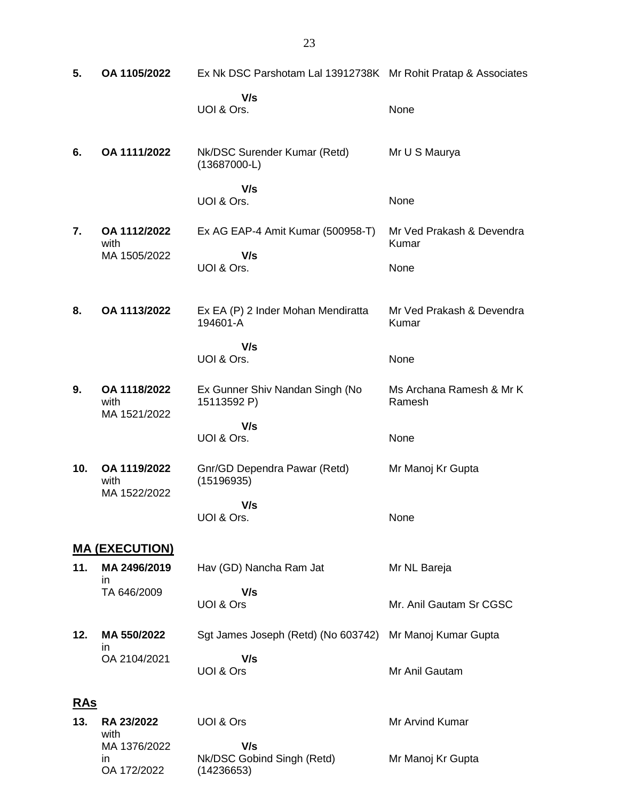| 5.         | OA 1105/2022                         | Ex Nk DSC Parshotam Lal 13912738K Mr Rohit Pratap & Associates |                                    |
|------------|--------------------------------------|----------------------------------------------------------------|------------------------------------|
|            |                                      | V/s<br>UOI & Ors.                                              | None                               |
| 6.         | OA 1111/2022                         | Nk/DSC Surender Kumar (Retd)<br>$(13687000-L)$                 | Mr U S Maurya                      |
|            |                                      | V/s<br>UOI & Ors.                                              | None                               |
| 7.         | OA 1112/2022<br>with                 | Ex AG EAP-4 Amit Kumar (500958-T)                              | Mr Ved Prakash & Devendra<br>Kumar |
|            | MA 1505/2022                         | V/s<br>UOI & Ors.                                              | None                               |
| 8.         | OA 1113/2022                         | Ex EA (P) 2 Inder Mohan Mendiratta<br>194601-A                 | Mr Ved Prakash & Devendra<br>Kumar |
|            |                                      | V/s<br>UOI & Ors.                                              | None                               |
| 9.         | OA 1118/2022<br>with<br>MA 1521/2022 | Ex Gunner Shiv Nandan Singh (No<br>15113592 P)                 | Ms Archana Ramesh & Mr K<br>Ramesh |
|            |                                      | V/s<br>UOI & Ors.                                              | None                               |
| 10.        | OA 1119/2022<br>with<br>MA 1522/2022 | Gnr/GD Dependra Pawar (Retd)<br>(15196935)                     | Mr Manoj Kr Gupta                  |
|            |                                      | V/s<br>UOI & Ors.                                              | None                               |
|            | <u>MA (EXECUTION)</u>                |                                                                |                                    |
| 11.        | MA 2496/2019<br>ın                   | Hav (GD) Nancha Ram Jat                                        | Mr NL Bareja                       |
|            | TA 646/2009                          | V/s<br>UOI & Ors                                               | Mr. Anil Gautam Sr CGSC            |
| 12.        | MA 550/2022<br>ın                    | Sgt James Joseph (Retd) (No 603742)                            | Mr Manoj Kumar Gupta               |
|            | OA 2104/2021                         | V/s<br>UOI & Ors                                               | Mr Anil Gautam                     |
| <b>RAs</b> |                                      |                                                                |                                    |
| 13.        | RA 23/2022<br>with                   | UOI & Ors                                                      | Mr Arvind Kumar                    |
|            | MA 1376/2022<br>in<br>OA 172/2022    | V/s<br>Nk/DSC Gobind Singh (Retd)<br>(14236653)                | Mr Manoj Kr Gupta                  |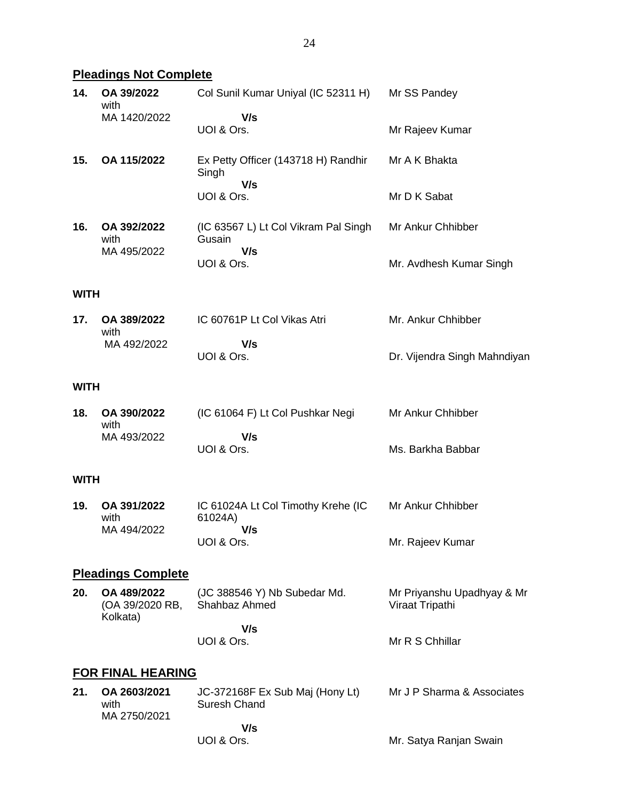# **Pleadings Not Complete**

| 14.         | OA 39/2022<br>with                         | Col Sunil Kumar Uniyal (IC 52311 H)                   | Mr SS Pandey                                  |
|-------------|--------------------------------------------|-------------------------------------------------------|-----------------------------------------------|
|             | MA 1420/2022                               | V/s<br>UOI & Ors.                                     | Mr Rajeev Kumar                               |
| 15.         | OA 115/2022                                | Ex Petty Officer (143718 H) Randhir<br>Singh<br>V/s   | Mr A K Bhakta                                 |
|             |                                            | UOI & Ors.                                            | Mr D K Sabat                                  |
| 16.         | OA 392/2022<br>with<br>MA 495/2022         | (IC 63567 L) Lt Col Vikram Pal Singh<br>Gusain<br>V/s | Mr Ankur Chhibber                             |
|             |                                            | UOI & Ors.                                            | Mr. Avdhesh Kumar Singh                       |
| <b>WITH</b> |                                            |                                                       |                                               |
| 17.         | OA 389/2022<br>with                        | IC 60761P Lt Col Vikas Atri                           | Mr. Ankur Chhibber                            |
|             | MA 492/2022                                | V/s<br>UOI & Ors.                                     | Dr. Vijendra Singh Mahndiyan                  |
| <b>WITH</b> |                                            |                                                       |                                               |
| 18.         | OA 390/2022<br>with                        | (IC 61064 F) Lt Col Pushkar Negi<br>V/s               | Mr Ankur Chhibber                             |
|             | MA 493/2022                                | UOI & Ors.                                            | Ms. Barkha Babbar                             |
| <b>WITH</b> |                                            |                                                       |                                               |
| 19.         | OA 391/2022<br>with<br>MA 494/2022         | IC 61024A Lt Col Timothy Krehe (IC<br>61024A)<br>V/s  | Mr Ankur Chhibber                             |
|             |                                            | UOI & Ors.                                            | Mr. Rajeev Kumar                              |
|             | <b>Pleadings Complete</b>                  |                                                       |                                               |
| 20.         | OA 489/2022<br>(OA 39/2020 RB,<br>Kolkata) | (JC 388546 Y) Nb Subedar Md.<br>Shahbaz Ahmed         | Mr Priyanshu Upadhyay & Mr<br>Viraat Tripathi |
|             |                                            | V/s<br>UOI & Ors.                                     | Mr R S Chhillar                               |
|             | <b>FOR FINAL HEARING</b>                   |                                                       |                                               |
| 21.         | OA 2603/2021<br>with<br>MA 2750/2021       | JC-372168F Ex Sub Maj (Hony Lt)<br>Suresh Chand       | Mr J P Sharma & Associates                    |
|             |                                            | V/s<br>UOI & Ors.                                     | Mr. Satya Ranjan Swain                        |